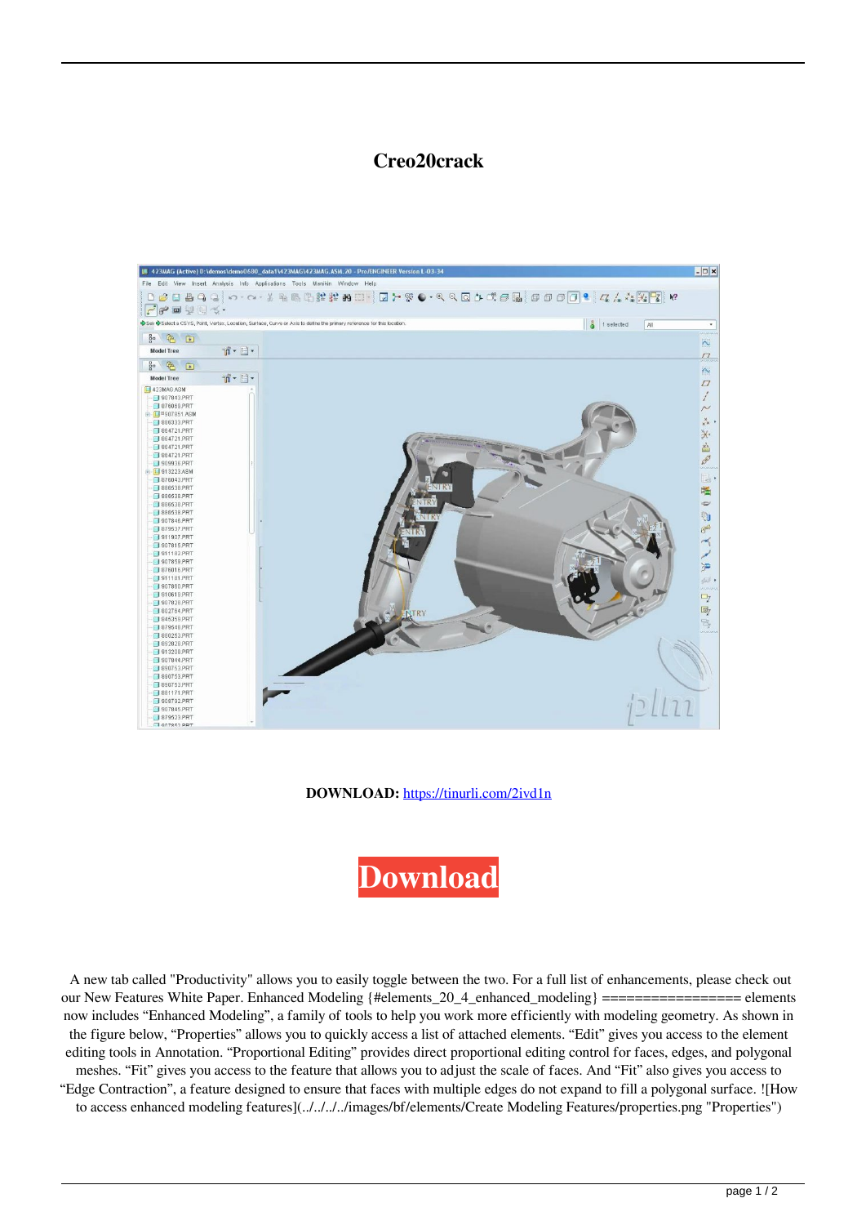## **Creo20crack**



**DOWNLOAD:** <https://tinurli.com/2ivd1n>



 A new tab called "Productivity" allows you to easily toggle between the two. For a full list of enhancements, please check out our New Features White Paper. Enhanced Modeling {#elements\_20\_4\_enhanced\_modeling} ================= elements now includes "Enhanced Modeling", a family of tools to help you work more efficiently with modeling geometry. As shown in the figure below, "Properties" allows you to quickly access a list of attached elements. "Edit" gives you access to the element editing tools in Annotation. "Proportional Editing" provides direct proportional editing control for faces, edges, and polygonal meshes. "Fit" gives you access to the feature that allows you to adjust the scale of faces. And "Fit" also gives you access to "Edge Contraction", a feature designed to ensure that faces with multiple edges do not expand to fill a polygonal surface. ![How to access enhanced modeling features](../../../../images/bf/elements/Create Modeling Features/properties.png "Properties")